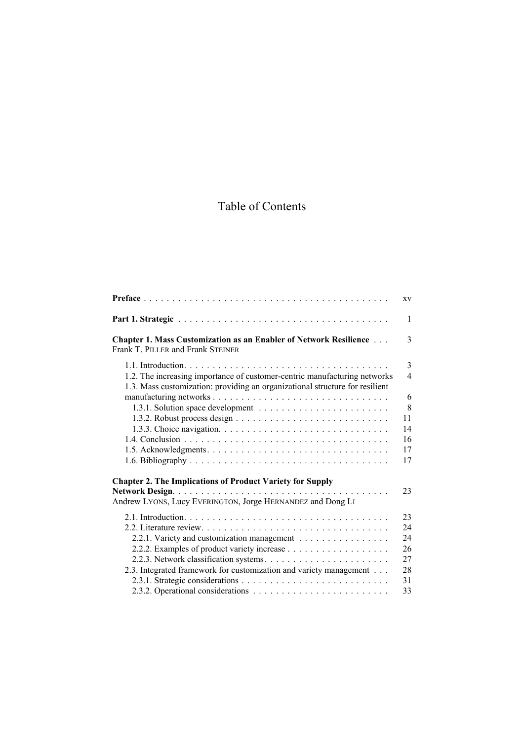## Table of Contents

|                                                                                                                                                           | XV                            |
|-----------------------------------------------------------------------------------------------------------------------------------------------------------|-------------------------------|
|                                                                                                                                                           | $\mathbf{1}$                  |
| <b>Chapter 1. Mass Customization as an Enabler of Network Resilience</b><br>Frank T. PILLER and Frank STEINER                                             | 3                             |
| 1.2. The increasing importance of customer-centric manufacturing networks<br>1.3. Mass customization: providing an organizational structure for resilient | 3<br>$\overline{\mathcal{A}}$ |
|                                                                                                                                                           | 6                             |
|                                                                                                                                                           | 8                             |
|                                                                                                                                                           | 11                            |
|                                                                                                                                                           | 14                            |
|                                                                                                                                                           | 16                            |
|                                                                                                                                                           | 17                            |
|                                                                                                                                                           | 17                            |
| <b>Chapter 2. The Implications of Product Variety for Supply</b>                                                                                          |                               |
| Andrew LYONS, Lucy EVERINGTON, Jorge HERNANDEZ and Dong LI                                                                                                | 23                            |
|                                                                                                                                                           | 23                            |
|                                                                                                                                                           | 24                            |
| 2.2.1. Variety and customization management                                                                                                               | 24                            |
|                                                                                                                                                           | 26                            |
|                                                                                                                                                           | 27                            |
| 2.3. Integrated framework for customization and variety management                                                                                        | 28                            |
|                                                                                                                                                           | 31                            |
|                                                                                                                                                           | 33                            |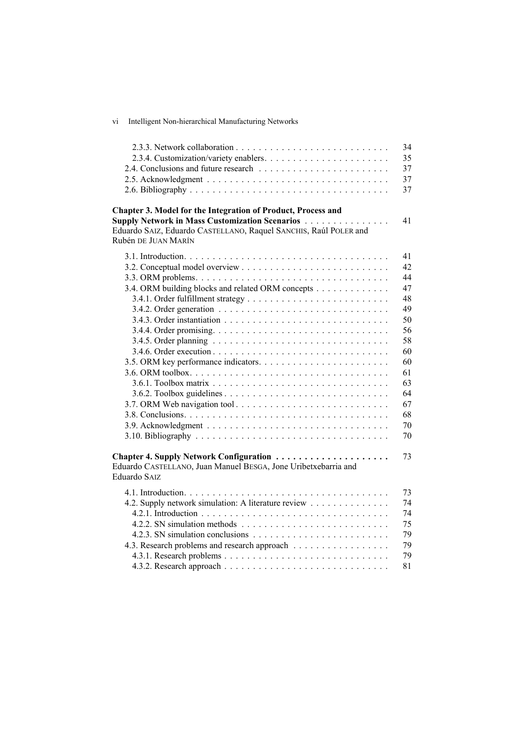| VI <sub></sub> | Intelligent Non-hierarchical Manufacturing Networks |  |
|----------------|-----------------------------------------------------|--|
|                |                                                     |  |

|                                                                                                                                                                                                                   | 34<br>35<br>37<br>37<br>37 |
|-------------------------------------------------------------------------------------------------------------------------------------------------------------------------------------------------------------------|----------------------------|
| Chapter 3. Model for the Integration of Product, Process and<br><b>Supply Network in Mass Customization Scenarios </b><br>Eduardo SAIZ, Eduardo CASTELLANO, Raquel SANCHIS, Raúl POLER and<br>Rubén DE JUAN MARÍN | 41                         |
|                                                                                                                                                                                                                   | 41<br>42<br>44             |
| 3.4. ORM building blocks and related ORM concepts                                                                                                                                                                 | 47                         |
|                                                                                                                                                                                                                   | 48                         |
|                                                                                                                                                                                                                   | 49                         |
|                                                                                                                                                                                                                   | 50                         |
|                                                                                                                                                                                                                   | 56<br>58                   |
|                                                                                                                                                                                                                   | 60                         |
|                                                                                                                                                                                                                   | 60                         |
|                                                                                                                                                                                                                   | 61                         |
|                                                                                                                                                                                                                   | 63                         |
|                                                                                                                                                                                                                   | 64                         |
| 3.7. ORM Web navigation tool                                                                                                                                                                                      | 67                         |
|                                                                                                                                                                                                                   | 68                         |
|                                                                                                                                                                                                                   | 70                         |
|                                                                                                                                                                                                                   | 70                         |
| Eduardo CASTELLANO, Juan Manuel BESGA, Jone Uribetxebarria and<br><b>Eduardo SAIZ</b>                                                                                                                             | 73                         |
|                                                                                                                                                                                                                   | 73                         |
| 4.2. Supply network simulation: A literature review                                                                                                                                                               | 74                         |
|                                                                                                                                                                                                                   | 74                         |
|                                                                                                                                                                                                                   | 75                         |
|                                                                                                                                                                                                                   | 79                         |
| 4.3. Research problems and research approach                                                                                                                                                                      | 79                         |
|                                                                                                                                                                                                                   | 79                         |
|                                                                                                                                                                                                                   | 81                         |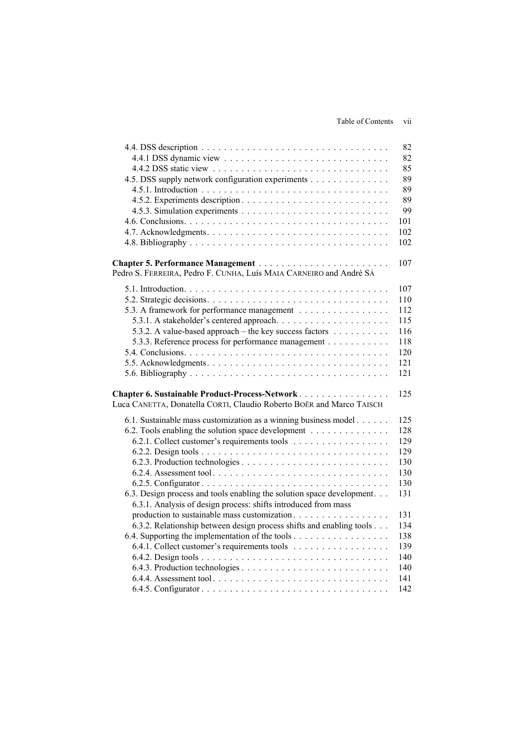## Table of Contents vii

|                                                                        | 82         |
|------------------------------------------------------------------------|------------|
|                                                                        | 82         |
|                                                                        | 85         |
| 4.5. DSS supply network configuration experiments                      | 89         |
|                                                                        | 89         |
|                                                                        | 89         |
|                                                                        | 99         |
|                                                                        | 101        |
|                                                                        | 102        |
|                                                                        | 102        |
|                                                                        | 107        |
| Pedro S. FERREIRA, Pedro F. CUNHA, Luís MAIA CARNEIRO and André SÁ     |            |
|                                                                        | 107        |
|                                                                        | 110        |
| 5.3. A framework for performance management                            | 112        |
|                                                                        | 115        |
| 5.3.2. A value-based approach – the key success factors                | 116        |
| 5.3.3. Reference process for performance management                    | 118        |
|                                                                        | 120        |
|                                                                        | 121        |
|                                                                        | 121        |
| Chapter 6. Sustainable Product-Process-Network                         | 125        |
| Luca CANETTA, Donatella CORTI, Claudio Roberto BOËR and Marco TAISCH   |            |
| 6.1. Sustainable mass customization as a winning business model        | 125        |
| 6.2. Tools enabling the solution space development                     | 128        |
| 6.2.1. Collect customer's requirements tools                           | 129        |
|                                                                        | 129        |
|                                                                        | 130        |
|                                                                        | 130        |
|                                                                        | 130        |
| 6.3. Design process and tools enabling the solution space development. | 131        |
| 6.3.1. Analysis of design process: shifts introduced from mass         |            |
| production to sustainable mass customization                           | 131        |
| 6.3.2. Relationship between design process shifts and enabling tools   | 134        |
| 6.4. Supporting the implementation of the tools                        | 138        |
| 6.4.1. Collect customer's requirements tools                           | 139        |
|                                                                        | 140        |
|                                                                        | 140<br>141 |
|                                                                        | 142        |
|                                                                        |            |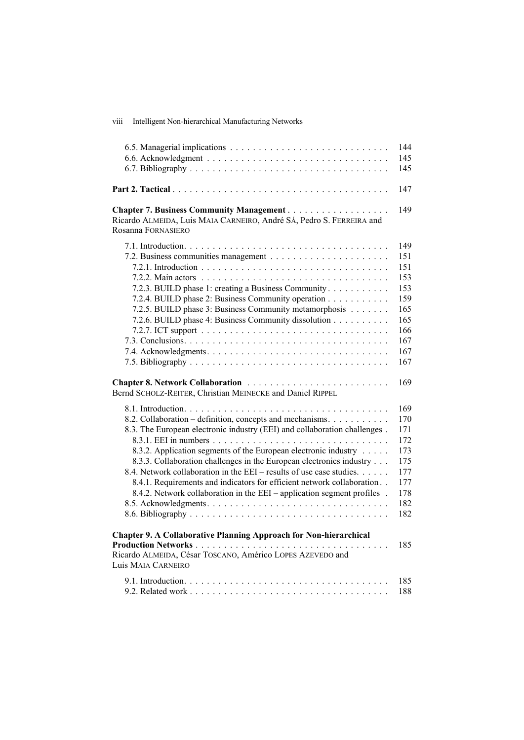viii Intelligent Non-hierarchical Manufacturing Networks

|                                                                                                                                                                                                                                                                                                                                                                                                                                                                                                                | 144                                                                              |
|----------------------------------------------------------------------------------------------------------------------------------------------------------------------------------------------------------------------------------------------------------------------------------------------------------------------------------------------------------------------------------------------------------------------------------------------------------------------------------------------------------------|----------------------------------------------------------------------------------|
|                                                                                                                                                                                                                                                                                                                                                                                                                                                                                                                | 145                                                                              |
|                                                                                                                                                                                                                                                                                                                                                                                                                                                                                                                | 145                                                                              |
|                                                                                                                                                                                                                                                                                                                                                                                                                                                                                                                | 147                                                                              |
| Ricardo ALMEIDA, Luis MAIA CARNEIRO, André SÁ, Pedro S. FERREIRA and<br>Rosanna FORNASIERO                                                                                                                                                                                                                                                                                                                                                                                                                     | 149                                                                              |
| 7.2.3. BUILD phase 1: creating a Business Community<br>7.2.4. BUILD phase 2: Business Community operation<br>7.2.5. BUILD phase 3: Business Community metamorphosis<br>7.2.6. BUILD phase 4: Business Community dissolution                                                                                                                                                                                                                                                                                    | 149<br>151<br>151<br>153<br>153<br>159<br>165<br>165<br>166<br>167<br>167<br>167 |
| Bernd SCHOLZ-REITER, Christian MEINECKE and Daniel RIPPEL                                                                                                                                                                                                                                                                                                                                                                                                                                                      | 169                                                                              |
| 8.2. Collaboration – definition, concepts and mechanisms.<br>8.3. The European electronic industry (EEI) and collaboration challenges.<br>8.3.2. Application segments of the European electronic industry<br>8.3.3. Collaboration challenges in the European electronics industry<br>8.4. Network collaboration in the EEI – results of use case studies.<br>8.4.1. Requirements and indicators for efficient network collaboration<br>8.4.2. Network collaboration in the EEI – application segment profiles. | 169<br>170<br>171<br>172<br>173<br>175<br>177<br>177<br>178<br>182<br>182        |
| <b>Chapter 9. A Collaborative Planning Approach for Non-hierarchical</b><br>Ricardo ALMEIDA, César TOSCANO, Américo LOPES AZEVEDO and<br>Luis MAIA CARNEIRO                                                                                                                                                                                                                                                                                                                                                    | 185                                                                              |
|                                                                                                                                                                                                                                                                                                                                                                                                                                                                                                                | 185<br>188                                                                       |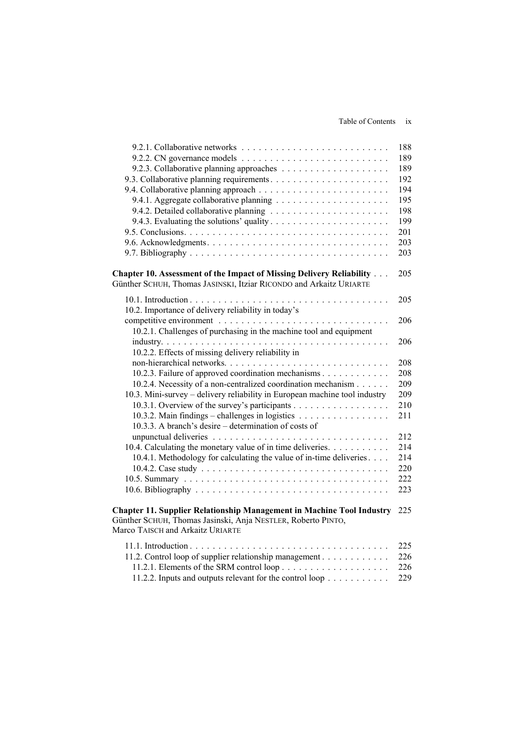|                                                                                                                                                                           | 188 |
|---------------------------------------------------------------------------------------------------------------------------------------------------------------------------|-----|
| 9.2.2. CN governance models $\dots \dots \dots \dots \dots \dots \dots \dots \dots \dots$                                                                                 | 189 |
|                                                                                                                                                                           | 189 |
|                                                                                                                                                                           | 192 |
|                                                                                                                                                                           | 194 |
|                                                                                                                                                                           | 195 |
|                                                                                                                                                                           | 198 |
|                                                                                                                                                                           | 199 |
|                                                                                                                                                                           | 201 |
|                                                                                                                                                                           | 203 |
|                                                                                                                                                                           | 203 |
| Chapter 10. Assessment of the Impact of Missing Delivery Reliability<br>Günther SCHUH, Thomas JASINSKI, Itziar RICONDO and Arkaitz URIARTE                                | 205 |
| 10.2. Importance of delivery reliability in today's                                                                                                                       | 205 |
|                                                                                                                                                                           | 206 |
| 10.2.1. Challenges of purchasing in the machine tool and equipment                                                                                                        |     |
|                                                                                                                                                                           | 206 |
| 10.2.2. Effects of missing delivery reliability in                                                                                                                        |     |
|                                                                                                                                                                           | 208 |
| 10.2.3. Failure of approved coordination mechanisms                                                                                                                       | 208 |
| 10.2.4. Necessity of a non-centralized coordination mechanism                                                                                                             | 209 |
| 10.3. Mini-survey – delivery reliability in European machine tool industry                                                                                                | 209 |
| 10.3.1. Overview of the survey's participants                                                                                                                             | 210 |
| 10.3.2. Main findings – challenges in logistics $\dots \dots \dots \dots \dots$                                                                                           | 211 |
| 10.3.3. A branch's desire – determination of costs of                                                                                                                     |     |
|                                                                                                                                                                           | 212 |
| 10.4. Calculating the monetary value of in time deliveries.                                                                                                               | 214 |
| 10.4.1. Methodology for calculating the value of in-time deliveries                                                                                                       | 214 |
|                                                                                                                                                                           | 220 |
|                                                                                                                                                                           | 222 |
|                                                                                                                                                                           | 223 |
| Chapter 11. Supplier Relationship Management in Machine Tool Industry<br>Günther SCHUH, Thomas Jasinski, Anja NESTLER, Roberto PINTO,<br>Marco TAISCH and Arkaitz URIARTE | 225 |
|                                                                                                                                                                           | 225 |
| 11.2. Control loop of supplier relationship management                                                                                                                    | 226 |
|                                                                                                                                                                           | 226 |

11.2.2. Inputs and outputs relevant for the control loop . . . . . . . . . . . 229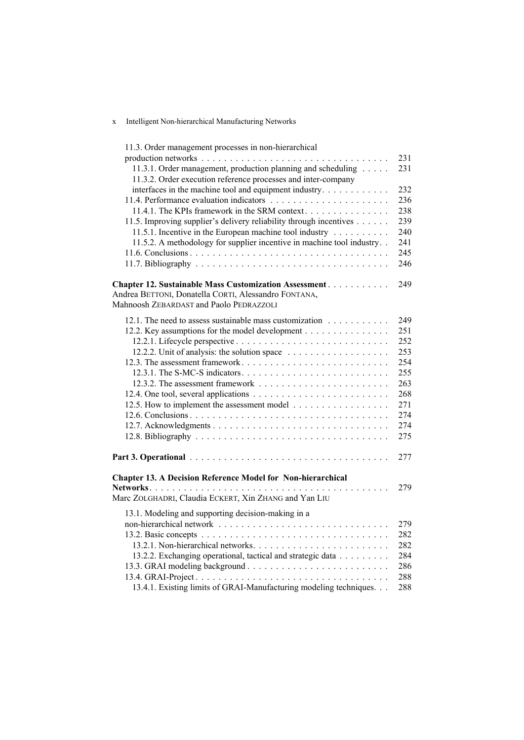## x Intelligent Non-hierarchical Manufacturing Networks

| 11.3. Order management processes in non-hierarchical                                                            |            |
|-----------------------------------------------------------------------------------------------------------------|------------|
|                                                                                                                 | 231        |
| 11.3.1. Order management, production planning and scheduling                                                    | 231        |
| 11.3.2. Order execution reference processes and inter-company                                                   |            |
| interfaces in the machine tool and equipment industry                                                           | 232        |
|                                                                                                                 | 236        |
| 11.4.1. The KPIs framework in the SRM context                                                                   | 238        |
| 11.5. Improving supplier's delivery reliability through incentives                                              | 239        |
| 11.5.1. Incentive in the European machine tool industry                                                         | 240        |
| 11.5.2. A methodology for supplier incentive in machine tool industry                                           | 241        |
|                                                                                                                 | 245        |
|                                                                                                                 | 246        |
| Chapter 12. Sustainable Mass Customization Assessment                                                           | 249        |
| Andrea BETTONI, Donatella CORTI, Alessandro FONTANA,                                                            |            |
| Mahnoosh ZEBARDAST and Paolo PEDRAZZOLI                                                                         |            |
|                                                                                                                 |            |
| 12.1. The need to assess sustainable mass customization                                                         | 249        |
| 12.2. Key assumptions for the model development                                                                 | 251        |
|                                                                                                                 | 252        |
|                                                                                                                 | 253<br>254 |
|                                                                                                                 | 255        |
|                                                                                                                 | 263        |
|                                                                                                                 | 268        |
|                                                                                                                 | 271        |
|                                                                                                                 | 274        |
|                                                                                                                 | 274        |
|                                                                                                                 | 275        |
|                                                                                                                 |            |
| Part 3. Operational example 2014 and the contract contract to the contract of the Part 3. Operational example 2 | 277        |
|                                                                                                                 |            |
| Chapter 13. A Decision Reference Model for Non-hierarchical                                                     |            |
|                                                                                                                 | 279        |
| Marc ZOLGHADRI, Claudia ECKERT, Xin ZHANG and Yan LIU                                                           |            |
| 13.1. Modeling and supporting decision-making in a                                                              |            |
|                                                                                                                 | 279        |
|                                                                                                                 | 282        |
|                                                                                                                 | 282        |
| 13.2.2. Exchanging operational, tactical and strategic data                                                     | 284        |
|                                                                                                                 | 286        |
|                                                                                                                 | 288        |
| 13.4.1. Existing limits of GRAI-Manufacturing modeling techniques                                               | 288        |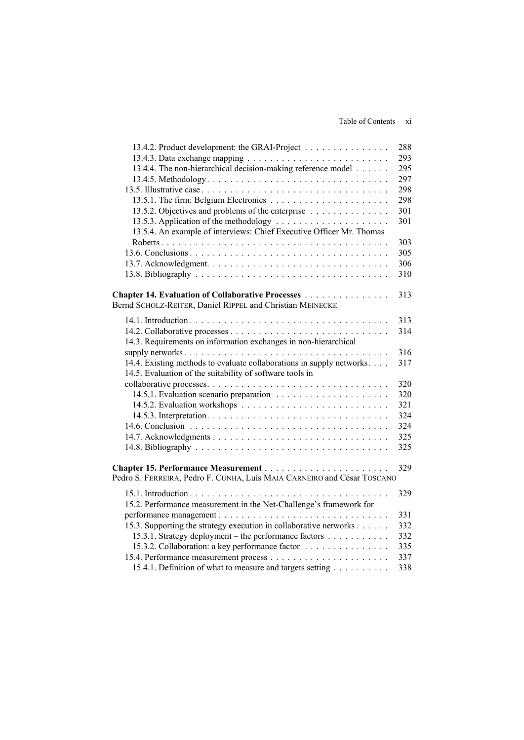| 13.4.2. Product development: the GRAI-Project                           | 288 |
|-------------------------------------------------------------------------|-----|
|                                                                         | 293 |
| 13.4.4. The non-hierarchical decision-making reference model            | 295 |
|                                                                         | 297 |
|                                                                         | 298 |
|                                                                         | 298 |
| 13.5.2. Objectives and problems of the enterprise                       | 301 |
|                                                                         | 301 |
| 13.5.4. An example of interviews: Chief Executive Officer Mr. Thomas    |     |
|                                                                         | 303 |
|                                                                         | 305 |
|                                                                         | 306 |
|                                                                         | 310 |
|                                                                         |     |
| Chapter 14. Evaluation of Collaborative Processes                       | 313 |
| Bernd SCHOLZ-REITER, Daniel RIPPEL and Christian MEINECKE               |     |
|                                                                         | 313 |
|                                                                         | 314 |
| 14.3. Requirements on information exchanges in non-hierarchical         |     |
|                                                                         | 316 |
| 14.4. Existing methods to evaluate collaborations in supply networks.   | 317 |
| 14.5. Evaluation of the suitability of software tools in                |     |
|                                                                         | 320 |
|                                                                         | 320 |
|                                                                         | 321 |
|                                                                         | 324 |
|                                                                         | 324 |
|                                                                         | 325 |
|                                                                         | 325 |
|                                                                         |     |
|                                                                         | 329 |
| Pedro S. FERREIRA, Pedro F. CUNHA, Luís MAIA CARNEIRO and César TOSCANO |     |
|                                                                         | 329 |
| 15.2. Performance measurement in the Net-Challenge's framework for      |     |
|                                                                         | 331 |
| 15.3. Supporting the strategy execution in collaborative networks       | 332 |
| 15.3.1. Strategy deployment – the performance factors                   | 332 |
| 15.3.2. Collaboration: a key performance factor                         | 335 |
|                                                                         | 337 |
| 15.4.1. Definition of what to measure and targets setting               | 338 |
|                                                                         |     |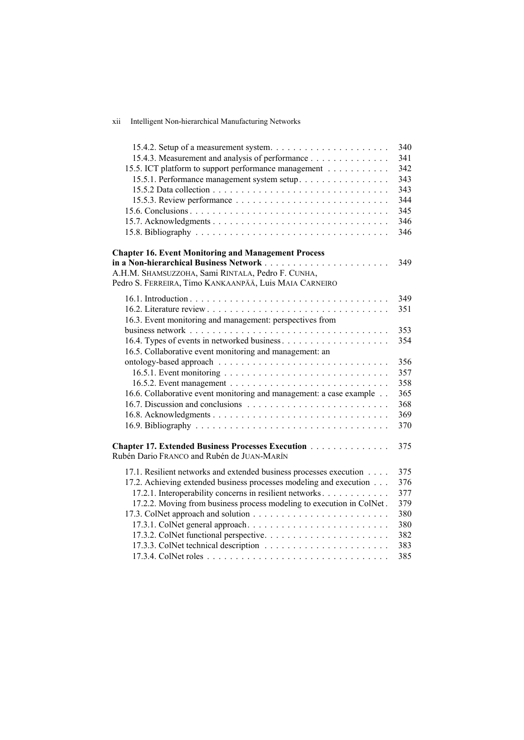| xii<br>Intelligent Non-hierarchical Manufacturing Networks |
|------------------------------------------------------------|
|------------------------------------------------------------|

|                                                                                                        | 340 |
|--------------------------------------------------------------------------------------------------------|-----|
| 15.4.3. Measurement and analysis of performance                                                        | 341 |
| 15.5. ICT platform to support performance management                                                   | 342 |
| 15.5.1. Performance management system setup                                                            | 343 |
|                                                                                                        | 343 |
|                                                                                                        | 344 |
|                                                                                                        | 345 |
|                                                                                                        | 346 |
|                                                                                                        | 346 |
| <b>Chapter 16. Event Monitoring and Management Process</b>                                             |     |
|                                                                                                        | 349 |
| A.H.M. SHAMSUZZOHA, Sami RINTALA, Pedro F. CUNHA,                                                      |     |
| Pedro S. FERREIRA, Timo KANKAANPÄÄ, Luis MAIA CARNEIRO                                                 |     |
|                                                                                                        | 349 |
|                                                                                                        |     |
|                                                                                                        | 351 |
| 16.3. Event monitoring and management: perspectives from                                               |     |
|                                                                                                        | 353 |
|                                                                                                        | 354 |
| 16.5. Collaborative event monitoring and management: an                                                |     |
|                                                                                                        | 356 |
|                                                                                                        | 357 |
|                                                                                                        | 358 |
| 16.6. Collaborative event monitoring and management: a case example                                    | 365 |
|                                                                                                        | 368 |
|                                                                                                        | 369 |
|                                                                                                        | 370 |
| <b>Chapter 17. Extended Business Processes Execution</b><br>Rubén Dario FRANCO and Rubén de JUAN-MARÍN | 375 |
| 17.1. Resilient networks and extended business processes execution                                     | 375 |
| 17.2. Achieving extended business processes modeling and execution                                     | 376 |
| 17.2.1. Interoperability concerns in resilient networks                                                | 377 |
| 17.2.2. Moving from business process modeling to execution in ColNet.                                  | 379 |
|                                                                                                        | 380 |
|                                                                                                        | 380 |
|                                                                                                        | 382 |
|                                                                                                        | 383 |
|                                                                                                        | 385 |
|                                                                                                        |     |